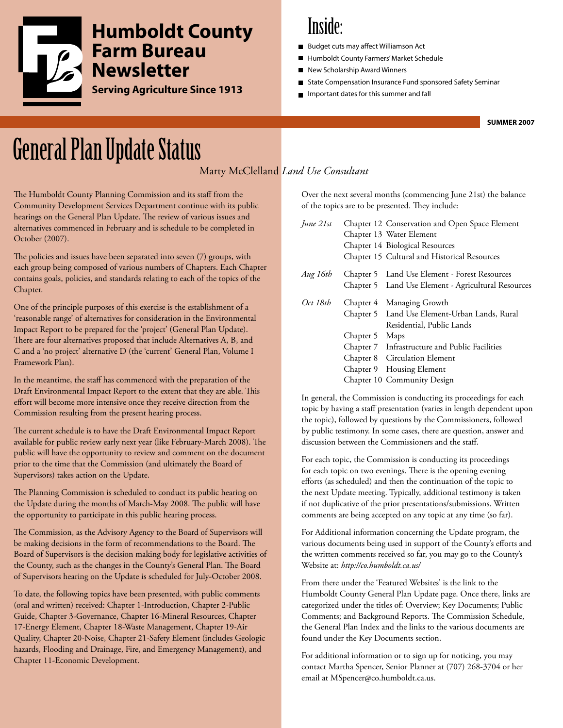

# **Humboldt County Farm Bureau**

**Serving Agriculture Since 1913**

## Inside:

- Budget cuts may affect Williamson Act
- Humboldt County Farmers' Market Schedule
- New Scholarship Award Winners
- State Compensation Insurance Fund sponsored Safety Seminar
- Important dates for this summer and fall

**SUMMER 2007**

# General Plan Update Status

Marty McClelland *Land Use Consultant*

The Humboldt County Planning Commission and its staff from the Community Development Services Department continue with its public hearings on the General Plan Update. The review of various issues and alternatives commenced in February and is schedule to be completed in October (2007).

The policies and issues have been separated into seven (7) groups, with each group being composed of various numbers of Chapters. Each Chapter contains goals, policies, and standards relating to each of the topics of the Chapter.

One of the principle purposes of this exercise is the establishment of a 'reasonable range' of alternatives for consideration in the Environmental Impact Report to be prepared for the 'project' (General Plan Update). There are four alternatives proposed that include Alternatives A, B, and C and a 'no project' alternative D (the 'current' General Plan, Volume I Framework Plan).

In the meantime, the staff has commenced with the preparation of the Draft Environmental Impact Report to the extent that they are able. This effort will become more intensive once they receive direction from the Commission resulting from the present hearing process.

The current schedule is to have the Draft Environmental Impact Report available for public review early next year (like February-March 2008). The public will have the opportunity to review and comment on the document prior to the time that the Commission (and ultimately the Board of Supervisors) takes action on the Update.

The Planning Commission is scheduled to conduct its public hearing on the Update during the months of March-May 2008. The public will have the opportunity to participate in this public hearing process.

The Commission, as the Advisory Agency to the Board of Supervisors will be making decisions in the form of recommendations to the Board. The Board of Supervisors is the decision making body for legislative activities of the County, such as the changes in the County's General Plan. The Board of Supervisors hearing on the Update is scheduled for July-October 2008.

To date, the following topics have been presented, with public comments (oral and written) received: Chapter 1-Introduction, Chapter 2-Public Guide, Chapter 3-Governance, Chapter 16-Mineral Resources, Chapter 17-Energy Element, Chapter 18-Waste Management, Chapter 19-Air Quality, Chapter 20-Noise, Chapter 21-Safety Element (includes Geologic hazards, Flooding and Drainage, Fire, and Emergency Management), and Chapter 11-Economic Development.

Over the next several months (commencing June 21st) the balance of the topics are to be presented. They include:

| June 21st |                | Chapter 12 Conservation and Open Space Element      |
|-----------|----------------|-----------------------------------------------------|
|           |                | Chapter 13 Water Element                            |
|           |                | Chapter 14 Biological Resources                     |
|           |                | Chapter 15 Cultural and Historical Resources        |
| Aug 16th  |                | Chapter 5 Land Use Element - Forest Resources       |
|           |                | Chapter 5 Land Use Element - Agricultural Resources |
| Oct 18th  |                | Chapter 4 Managing Growth                           |
|           |                | Chapter 5 Land Use Element-Urban Lands, Rural       |
|           |                | Residential, Public Lands                           |
|           | Chapter 5 Maps |                                                     |
|           |                | Chapter 7 Infrastructure and Public Facilities      |
|           |                | Chapter 8 Circulation Element                       |
|           |                | Chapter 9 Housing Element                           |
|           |                | Chapter 10 Community Design                         |

In general, the Commission is conducting its proceedings for each topic by having a staff presentation (varies in length dependent upon the topic), followed by questions by the Commissioners, followed by public testimony. In some cases, there are question, answer and discussion between the Commissioners and the staff.

For each topic, the Commission is conducting its proceedings for each topic on two evenings. There is the opening evening efforts (as scheduled) and then the continuation of the topic to the next Update meeting. Typically, additional testimony is taken if not duplicative of the prior presentations/submissions. Written comments are being accepted on any topic at any time (so far).

For Additional information concerning the Update program, the various documents being used in support of the County's efforts and the written comments received so far, you may go to the County's Website at: *http://co.humboldt.ca.us/*

From there under the 'Featured Websites' is the link to the Humboldt County General Plan Update page. Once there, links are categorized under the titles of: Overview; Key Documents; Public Comments; and Background Reports. The Commission Schedule, the General Plan Index and the links to the various documents are found under the Key Documents section.

For additional information or to sign up for noticing, you may contact Martha Spencer, Senior Planner at (707) 268-3704 or her email at MSpencer@co.humboldt.ca.us.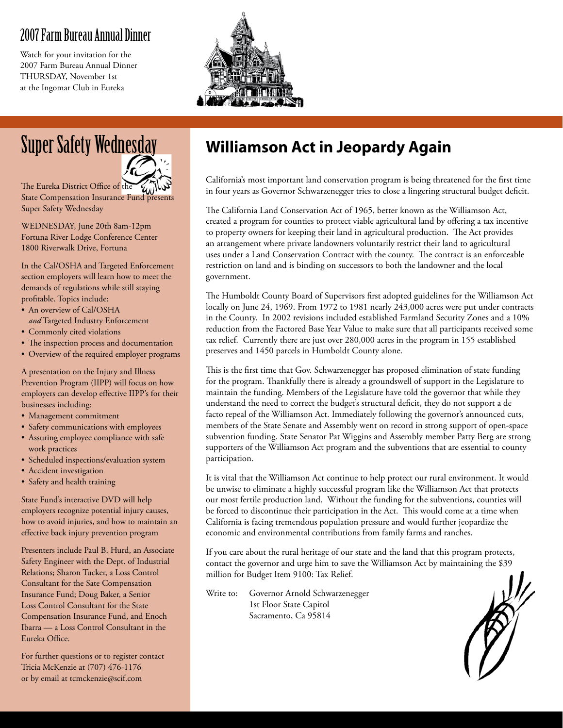## 2007 Farm Bureau Annual Dinner

Watch for your invitation for the 2007 Farm Bureau Annual Dinner THURSDAY, November 1st at the Ingomar Club in Eureka





The Eureka District Office of the State Compensation Insurance Fund presents Super Safety Wednesday

WEDNESDAY, June 20th 8am-12pm Fortuna River Lodge Conference Center 1800 Riverwalk Drive, Fortuna

In the Cal/OSHA and Targeted Enforcement section employers will learn how to meet the demands of regulations while still staying profitable. Topics include:

- An overview of Cal/OSHA *and* Targeted Industry Enforcement
- Commonly cited violations
- The inspection process and documentation
- Overview of the required employer programs

A presentation on the Injury and Illness Prevention Program (IIPP) will focus on how employers can develop effective IIPP's for their businesses including:

- Management commitment
- Safety communications with employees
- Assuring employee compliance with safe work practices
- Scheduled inspections/evaluation system
- Accident investigation
- Safety and health training

State Fund's interactive DVD will help employers recognize potential injury causes, how to avoid injuries, and how to maintain an effective back injury prevention program

Presenters include Paul B. Hurd, an Associate Safety Engineer with the Dept. of Industrial Relations; Sharon Tucker, a Loss Control Consultant for the Sate Compensation Insurance Fund; Doug Baker, a Senior Loss Control Consultant for the State Compensation Insurance Fund, and Enoch Ibarra — a Loss Control Consultant in the Eureka Office.

For further questions or to register contact Tricia McKenzie at (707) 476-1176 or by email at tcmckenzie@scif.com

## Super Safety Wednesday **Williamson Act in Jeopardy Again**

California's most important land conservation program is being threatened for the first time in four years as Governor Schwarzenegger tries to close a lingering structural budget deficit.

The California Land Conservation Act of 1965, better known as the Williamson Act, created a program for counties to protect viable agricultural land by offering a tax incentive to property owners for keeping their land in agricultural production. The Act provides an arrangement where private landowners voluntarily restrict their land to agricultural uses under a Land Conservation Contract with the county. The contract is an enforceable restriction on land and is binding on successors to both the landowner and the local government.

The Humboldt County Board of Supervisors first adopted guidelines for the Williamson Act locally on June 24, 1969. From 1972 to 1981 nearly 243,000 acres were put under contracts in the County. In 2002 revisions included established Farmland Security Zones and a 10% reduction from the Factored Base Year Value to make sure that all participants received some tax relief. Currently there are just over 280,000 acres in the program in 155 established preserves and 1450 parcels in Humboldt County alone.

This is the first time that Gov. Schwarzenegger has proposed elimination of state funding for the program. Thankfully there is already a groundswell of support in the Legislature to maintain the funding. Members of the Legislature have told the governor that while they understand the need to correct the budget's structural deficit, they do not support a de facto repeal of the Williamson Act. Immediately following the governor's announced cuts, members of the State Senate and Assembly went on record in strong support of open-space subvention funding. State Senator Pat Wiggins and Assembly member Patty Berg are strong supporters of the Williamson Act program and the subventions that are essential to county participation.

It is vital that the Williamson Act continue to help protect our rural environment. It would be unwise to eliminate a highly successful program like the Williamson Act that protects our most fertile production land. Without the funding for the subventions, counties will be forced to discontinue their participation in the Act. This would come at a time when California is facing tremendous population pressure and would further jeopardize the economic and environmental contributions from family farms and ranches.

If you care about the rural heritage of our state and the land that this program protects, contact the governor and urge him to save the Williamson Act by maintaining the \$39 million for Budget Item 9100: Tax Relief.

Write to: Governor Arnold Schwarzenegger 1st Floor State Capitol Sacramento, Ca 95814

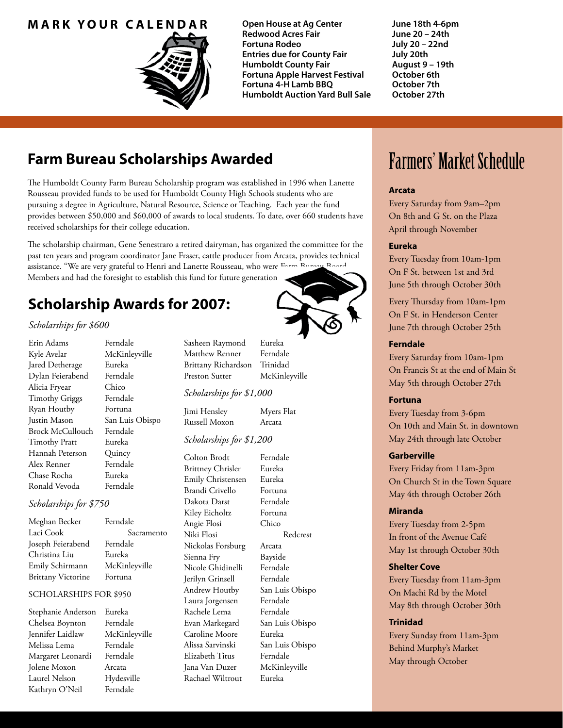

**M A R K Y O U R C A L E N D A R** Open House at Ag Center June 18th 4-6pm<br>Redwood Acres Fair June 20 - 24th **Redwood Acres Fair Fortuna Rodeo July 20 – 22nd Entries due for County Fair July 20th Humboldt County Fair August 9 – 19th Fortuna Apple Harvest Festival October 6th Fortuna 4-H Lamb BBQ October 7th Humboldt Auction Yard Bull Sale October 27th** 

### **Farm Bureau Scholarships Awarded Farmers' Market Schedule**

The Humboldt County Farm Bureau Scholarship program was established in 1996 when Lanette Rousseau provided funds to be used for Humboldt County High Schools students who are pursuing a degree in Agriculture, Natural Resource, Science or Teaching. Each year the fund provides between \$50,000 and \$60,000 of awards to local students. To date, over 660 students have received scholarships for their college education.

The scholarship chairman, Gene Senestraro a retired dairyman, has organized the committee for the past ten years and program coordinator Jane Fraser, cattle producer from Arcata, provides technical assistance. "We are very grateful to Henri and Lanette Rousseau, who were E Members and had the foresight to establish this fund for future generation

### **Scholarship Awards for 2007:**

#### *Scholarships for \$600*

| Erin Adams            | Ferndale        |
|-----------------------|-----------------|
| Kyle Avelar           | McKinleyville   |
| Jared Detherage       | Eureka          |
| Dylan Feierabend      | Ferndale        |
| Alicia Fryear         | Chico           |
| <b>Timothy Griggs</b> | Ferndale        |
| Ryan Houtby           | Fortuna         |
| Justin Mason          | San Luis Obispo |
| Brock McCullouch      | Ferndale        |
| <b>Timothy Pratt</b>  | Eureka          |
| Hannah Peterson       | Quincy          |
| Alex Renner           | Ferndale        |
| Chase Rocha           | Eureka          |
| Ronald Vevoda         | Ferndale        |

#### *Scholarships for \$750*

| Ferndale      |
|---------------|
| Sacramento    |
| Ferndale      |
| Eureka        |
| McKinleyville |
| Fortuna       |
|               |

#### SCHOLARSHIPS FOR \$950

Stephanie Anderson Eureka Chelsea Boynton Ferndale Jennifer Laidlaw McKinleyville Melissa Lema Ferndale Margaret Leonardi Ferndale Jolene Moxon Arcata Laurel Nelson Hydesville Kathryn O'Neil Ferndale

Sasheen Raymond Eureka Matthew Renner Ferndale Brittany Richardson Trinidad Preston Sutter McKinleyville

#### *Scholarships for \$1,000*

Jimi Hensley Myers Flat Russell Moxon Arcata

### *Scholarships for \$1,200*

Brittney Chrisler Eureka Emily Christensen Eureka Brandi Crivello Fortuna Dakota Darst Ferndale Kiley Eicholtz Fortuna Angie Flosi Chico Niki Flosi Redcrest Nickolas Forsburg Arcata Sienna Fry Bayside Nicole Ghidinelli Ferndale Jerilyn Grinsell Ferndale Andrew Houtby San Luis Obispo Laura Jorgensen Ferndale Rachele Lema Ferndale Evan Markegard San Luis Obispo Caroline Moore Eureka Alissa Sarvinski San Luis Obispo Elizabeth Titus Ferndale Jana Van Duzer McKinleyville Rachael Wiltrout Eureka

Colton Brodt Ferndale

#### **Arcata**

Every Saturday from 9am–2pm On 8th and G St. on the Plaza April through November

#### **Eureka**

Every Tuesday from 10am-1pm On F St. between 1st and 3rd June 5th through October 30th

Every Thursday from 10am-1pm On F St. in Henderson Center June 7th through October 25th

#### **Ferndale**

Every Saturday from 10am-1pm On Francis St at the end of Main St May 5th through October 27th

#### **Fortuna**

Every Tuesday from 3-6pm On 10th and Main St. in downtown May 24th through late October

#### **Garberville**

Every Friday from 11am-3pm On Church St in the Town Square May 4th through October 26th

#### **Miranda**

Every Tuesday from 2-5pm In front of the Avenue Café May 1st through October 30th

#### **Shelter Cove**

Every Tuesday from 11am-3pm On Machi Rd by the Motel May 8th through October 30th

#### **Trinidad**

Every Sunday from 11am-3pm Behind Murphy's Market May through October

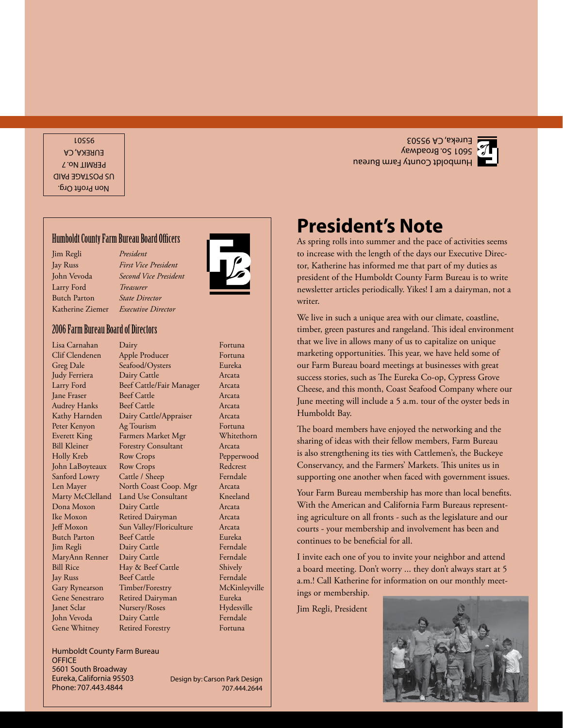Non Profit Org. US POSTAGE PAID PERMIT No. 7 EUREKA, CA 10SS6

#### Humboldt County Farm Bureau Board Officers

Jim Regli *President* Larry Ford *Treasurer*

Jay Russ *First Vice President* John Vevoda *Second Vice President* Butch Parton *State Director* Katherine Ziemer *Executive Director*

### 2006 Farm Bureau Board of Directors

Lisa Carnahan Dairy Fortuna

Clif Clendenen Apple Producer Fortuna Greg Dale Seafood/Oysters Eureka Judy Ferriera Dairy Cattle Arcata Larry Ford Beef Cattle/Fair Manager Arcata Jane Fraser Beef Cattle Arcata Audrey Hanks Beef Cattle Arcata Kathy Harnden Dairy Cattle/Appraiser Arcata Peter Kenyon Ag Tourism Fortuna Everett King Farmers Market Mgr Whitethorn Bill Kleiner Forestry Consultant Arcata Holly Kreb Row Crops Pepperwood John LaBoyteaux Row Crops Redcrest Sanford Lowry Cattle / Sheep Ferndale Len Mayer North Coast Coop. Mgr Arcata Marty McClelland Land Use Consultant Kneeland Dona Moxon Dairy Cattle Arcata Ike Moxon Retired Dairyman Arcata Jeff Moxon Sun Valley/Floriculture Arcata Butch Parton Beef Cattle Eureka Jim Regli Dairy Cattle Ferndale MaryAnn Renner Dairy Cattle Ferndale Bill Rice Hay & Beef Cattle Shively Jay Russ Beef Cattle Ferndale Gary Rynearson Timber/Forestry McKinleyville Gene Senestraro Retired Dairyman Eureka Janet Sclar Nursery/Roses Hydesville John Vevoda Dairy Cattle Ferndale



Gene Whitney Retired Forestry Fortuna Design by: Carson Park Design Humboldt County Farm Bureau 5601 So. Broadway Eureka, CA 95503



## **President's Note**

As spring rolls into summer and the pace of activities seems to increase with the length of the days our Executive Director, Katherine has informed me that part of my duties as president of the Humboldt County Farm Bureau is to write newsletter articles periodically. Yikes! I am a dairyman, not a writer.

We live in such a unique area with our climate, coastline, timber, green pastures and rangeland. This ideal environment that we live in allows many of us to capitalize on unique marketing opportunities. This year, we have held some of our Farm Bureau board meetings at businesses with great success stories, such as The Eureka Co-op, Cypress Grove Cheese, and this month, Coast Seafood Company where our June meeting will include a 5 a.m. tour of the oyster beds in Humboldt Bay.

The board members have enjoyed the networking and the sharing of ideas with their fellow members, Farm Bureau is also strengthening its ties with Cattlemen's, the Buckeye Conservancy, and the Farmers' Markets. This unites us in supporting one another when faced with government issues.

Your Farm Bureau membership has more than local benefits. With the American and California Farm Bureaus representing agriculture on all fronts - such as the legislature and our courts - your membership and involvement has been and continues to be beneficial for all.

I invite each one of you to invite your neighbor and attend a board meeting. Don't worry ... they don't always start at 5 a.m.! Call Katherine for information on our monthly meetings or membership.

Jim Regli, President



707.444.2644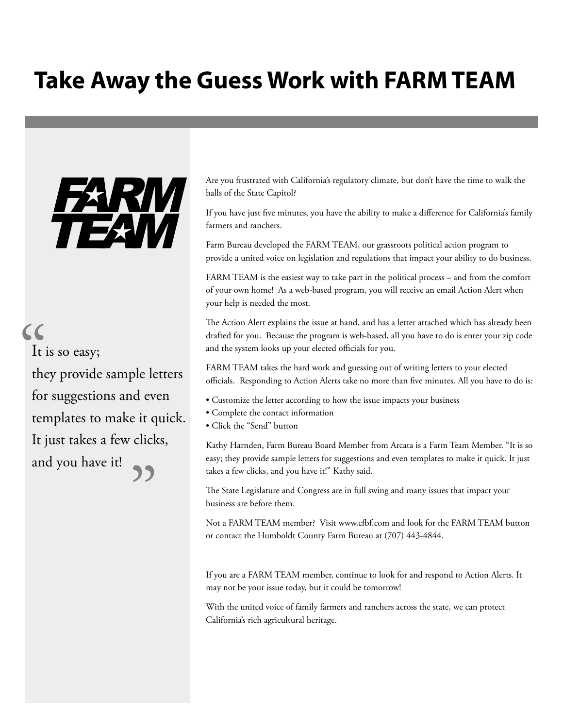# **Take Away the Guess Work with FARM TEAM**



It is so easy; they provide sample letters for suggestions and even templates to make it quick. It just takes a few clicks, and you have it!  $cc$ "<br>
<br>
<br>
<br>
<br>
<br><br><br><br><br><br><br><br><br><br><br><br>

Are you frustrated with California's regulatory climate, but don't have the time to walk the halls of the State Capitol?

If you have just five minutes, you have the ability to make a difference for California's family farmers and ranchers.

Farm Bureau developed the FARM TEAM, our grassroots political action program to provide a united voice on legislation and regulations that impact your ability to do business.

FARM TEAM is the easiest way to take part in the political process – and from the comfort of your own home! As a web-based program, you will receive an email Action Alert when your help is needed the most.

The Action Alert explains the issue at hand, and has a letter attached which has already been drafted for you. Because the program is web-based, all you have to do is enter your zip code and the system looks up your elected officials for you.

FARM TEAM takes the hard work and guessing out of writing letters to your elected officials. Responding to Action Alerts take no more than five minutes. All you have to do is:

- Customize the letter according to how the issue impacts your business
- Complete the contact information
- Click the "Send" button

Kathy Harnden, Farm Bureau Board Member from Arcata is a Farm Team Member. "It is so easy; they provide sample letters for suggestions and even templates to make it quick. It just takes a few clicks, and you have it!" Kathy said.

The State Legislature and Congress are in full swing and many issues that impact your business are before them.

Not a FARM TEAM member? Visit www.cfbf.com and look for the FARM TEAM button or contact the Humboldt County Farm Bureau at (707) 443-4844.

If you are a FARM TEAM member, continue to look for and respond to Action Alerts. It may not be your issue today, but it could be tomorrow!

With the united voice of family farmers and ranchers across the state, we can protect California's rich agricultural heritage.